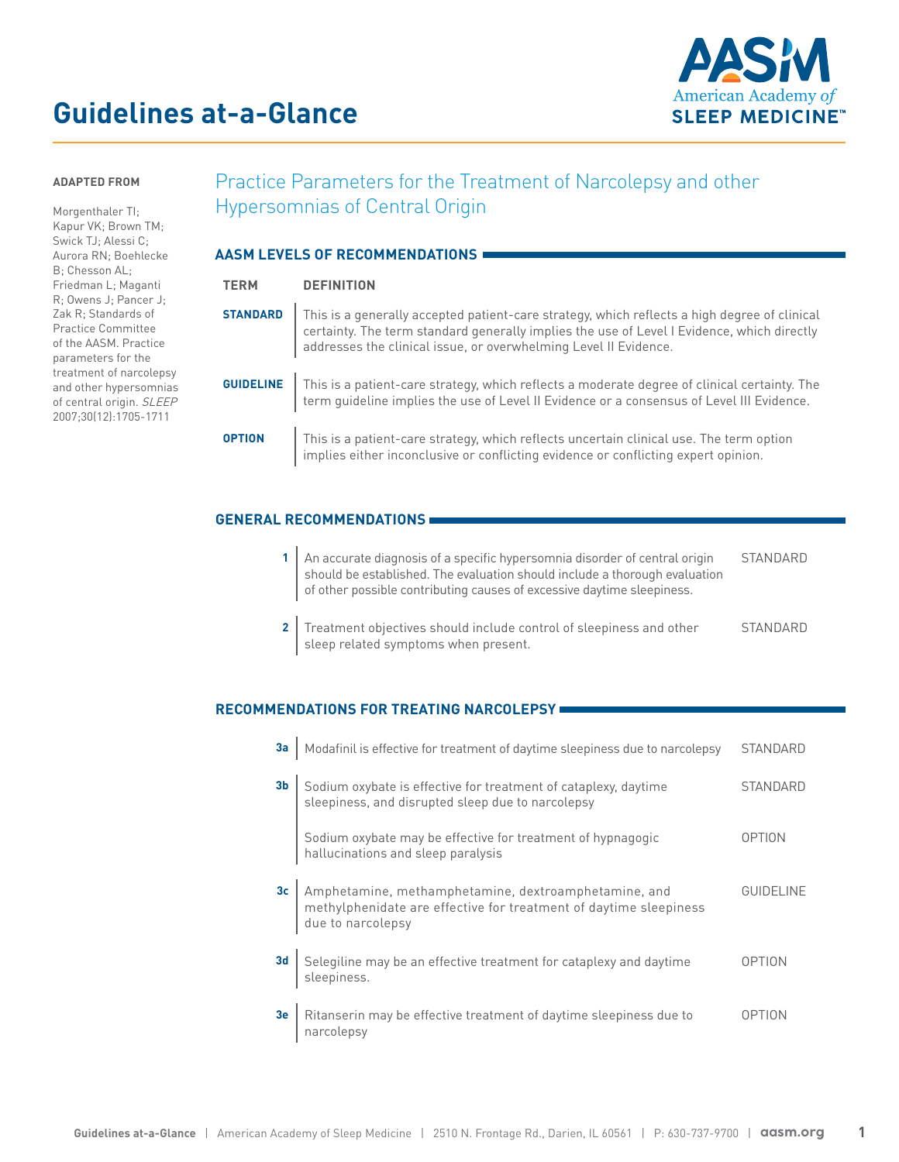# **Guidelines at-a-Glance**



#### **ADAPTED FROM**

[Morgenthaler TI;](https://j2vjt3dnbra3ps7ll1clb4q2-wpengine.netdna-ssl.com/wp-content/uploads/2017/07/PP_Narcolepsy.pdf)  [Kapur VK; Brown TM;](https://j2vjt3dnbra3ps7ll1clb4q2-wpengine.netdna-ssl.com/wp-content/uploads/2017/07/PP_Narcolepsy.pdf)  [Swick TJ; Alessi C;](https://j2vjt3dnbra3ps7ll1clb4q2-wpengine.netdna-ssl.com/wp-content/uploads/2017/07/PP_Narcolepsy.pdf)  [Aurora RN; Boehlecke](https://j2vjt3dnbra3ps7ll1clb4q2-wpengine.netdna-ssl.com/wp-content/uploads/2017/07/PP_Narcolepsy.pdf)  [B; Chesson AL;](https://j2vjt3dnbra3ps7ll1clb4q2-wpengine.netdna-ssl.com/wp-content/uploads/2017/07/PP_Narcolepsy.pdf)  [Friedman L; Maganti](https://j2vjt3dnbra3ps7ll1clb4q2-wpengine.netdna-ssl.com/wp-content/uploads/2017/07/PP_Narcolepsy.pdf)  [R; Owens J; Pancer J;](https://j2vjt3dnbra3ps7ll1clb4q2-wpengine.netdna-ssl.com/wp-content/uploads/2017/07/PP_Narcolepsy.pdf)  [Zak R; Standards of](https://j2vjt3dnbra3ps7ll1clb4q2-wpengine.netdna-ssl.com/wp-content/uploads/2017/07/PP_Narcolepsy.pdf)  [Practice Committee](https://j2vjt3dnbra3ps7ll1clb4q2-wpengine.netdna-ssl.com/wp-content/uploads/2017/07/PP_Narcolepsy.pdf)  [of the AASM. Practice](https://j2vjt3dnbra3ps7ll1clb4q2-wpengine.netdna-ssl.com/wp-content/uploads/2017/07/PP_Narcolepsy.pdf)  [parameters for the](https://j2vjt3dnbra3ps7ll1clb4q2-wpengine.netdna-ssl.com/wp-content/uploads/2017/07/PP_Narcolepsy.pdf)  [treatment of narcolepsy](https://j2vjt3dnbra3ps7ll1clb4q2-wpengine.netdna-ssl.com/wp-content/uploads/2017/07/PP_Narcolepsy.pdf)  [and other hypersomnias](https://j2vjt3dnbra3ps7ll1clb4q2-wpengine.netdna-ssl.com/wp-content/uploads/2017/07/PP_Narcolepsy.pdf)  [of central origin.](https://j2vjt3dnbra3ps7ll1clb4q2-wpengine.netdna-ssl.com/wp-content/uploads/2017/07/PP_Narcolepsy.pdf) SLEEP [2007;30\(12\):1705-1711](https://j2vjt3dnbra3ps7ll1clb4q2-wpengine.netdna-ssl.com/wp-content/uploads/2017/07/PP_Narcolepsy.pdf)

# Practice Parameters for the Treatment of Narcolepsy and other Hypersomnias of Central Origin

| AASM LEVELS OF RECOMMENDATIONS |                                                                                                                                                                                                                                                                                  |  |
|--------------------------------|----------------------------------------------------------------------------------------------------------------------------------------------------------------------------------------------------------------------------------------------------------------------------------|--|
| <b>TERM</b>                    | <b>DEFINITION</b>                                                                                                                                                                                                                                                                |  |
|                                | <b>STANDARD</b>   This is a generally accepted patient-care strategy, which reflects a high degree of clinical<br>certainty. The term standard generally implies the use of Level I Evidence, which directly<br>addresses the clinical issue, or overwhelming Level II Evidence. |  |
|                                | <b>GUIDELINE</b> This is a patient-care strategy, which reflects a moderate degree of clinical certainty. The term guideline implies the use of Level II Evidence or a consensus of Level III Evidence.                                                                          |  |
| <b>OPTION</b>                  | This is a patient-care strategy, which reflects uncertain clinical use. The term option<br>implies either inconclusive or conflicting evidence or conflicting expert opinion.                                                                                                    |  |

#### **GENERAL RECOMMENDATIONS**

- **1** An accurate diagnosis of a specific hypersomnia disorder of central origin should be established. The evaluation should include a thorough evaluation of other possible contributing causes of excessive daytime sleepiness. STANDARD
- **2** Treatment objectives should include control of sleepiness and other sleep related symptoms when present. STANDARD

# **RECOMMENDATIONS FOR TREATING NARCOLEPSY**

| 3a              | Modafinil is effective for treatment of daytime sleepiness due to narcolepsy                                                                   | <b>STANDARD</b> |
|-----------------|------------------------------------------------------------------------------------------------------------------------------------------------|-----------------|
| 3 <sub>b</sub>  | Sodium oxybate is effective for treatment of cataplexy, daytime<br>sleepiness, and disrupted sleep due to narcolepsy                           | STANDARD        |
|                 | Sodium oxybate may be effective for treatment of hypnagogic<br>hallucinations and sleep paralysis                                              | <b>OPTION</b>   |
| 3c <sub>1</sub> | Amphetamine, methamphetamine, dextroamphetamine, and<br>methylphenidate are effective for treatment of daytime sleepiness<br>due to narcolepsy | GUIDELINE       |
| 3 <sub>d</sub>  | Selegiline may be an effective treatment for cataplexy and daytime<br>sleepiness.                                                              | OPTION          |
| 3e              | Ritanserin may be effective treatment of daytime sleepiness due to<br>narcolepsy                                                               | NOPTION         |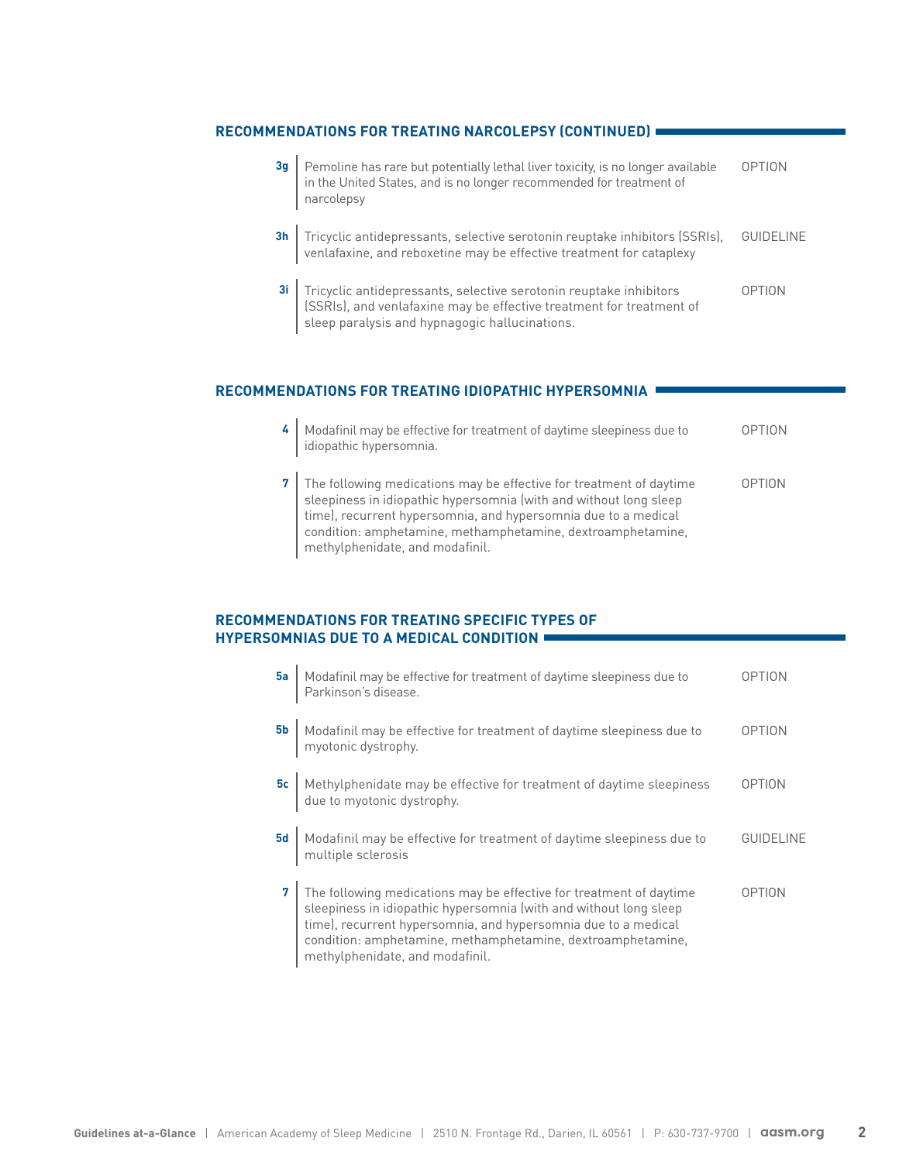# **RECOMMENDATIONS FOR TREATING NARCOLEPSY (CONTINUED)**

| 3g | Pemoline has rare but potentially lethal liver toxicity, is no longer available<br>in the United States, and is no longer recommended for treatment of<br>narcolepsy                           | <b>OPTION</b>    |
|----|------------------------------------------------------------------------------------------------------------------------------------------------------------------------------------------------|------------------|
|    | 3h Tricyclic antidepressants, selective serotonin reuptake inhibitors (SSRIs), venlafaxine, and reboxetine may be effective treatment for cataplexy                                            | <b>GUIDELINE</b> |
|    | 31 Tricyclic antidepressants, selective serotonin reuptake inhibitors<br>SSRIs), and venlafaxine may be effective treatment for treatment of<br>sleep paralysis and hypnagogic hallucinations. | <b>OPTION</b>    |

# **RECOMMENDATIONS FOR TREATING IDIOPATHIC HYPERSOMNIA**

| Modafinil may be effective for treatment of daytime sleepiness due to<br>idiopathic hypersomnia.                                                                                                                                                                                                             | OPTION |
|--------------------------------------------------------------------------------------------------------------------------------------------------------------------------------------------------------------------------------------------------------------------------------------------------------------|--------|
| The following medications may be effective for treatment of daytime<br>sleepiness in idiopathic hypersomnia (with and without long sleep<br>time), recurrent hypersomnia, and hypersomnia due to a medical<br>condition: amphetamine, methamphetamine, dextroamphetamine,<br>methylphenidate, and modafinil. | OPTION |

### **RECOMMENDATIONS FOR TREATING SPECIFIC TYPES OF HYPERSOMNIAS DUE TO A MEDICAL CONDITION**

| 5a        | Modafinil may be effective for treatment of daytime sleepiness due to<br>Parkinson's disease.                                                                                                                                                                                                                | <b>OPTION</b> |
|-----------|--------------------------------------------------------------------------------------------------------------------------------------------------------------------------------------------------------------------------------------------------------------------------------------------------------------|---------------|
| <b>5b</b> | Modafinil may be effective for treatment of daytime sleepiness due to myotonic dystrophy.                                                                                                                                                                                                                    | <b>OPTION</b> |
|           | 5c Methylphenidate may be effective for treatment of daytime sleepiness<br>due to myotonic dystrophy.                                                                                                                                                                                                        | <b>OPTION</b> |
| <b>5d</b> | Modafinil may be effective for treatment of daytime sleepiness due to<br>multiple sclerosis                                                                                                                                                                                                                  | GUIDELINE     |
|           | The following medications may be effective for treatment of daytime<br>sleepiness in idiopathic hypersomnia (with and without long sleep<br>time), recurrent hypersomnia, and hypersomnia due to a medical<br>condition: amphetamine, methamphetamine, dextroamphetamine,<br>methylphenidate, and modafinil. | <b>OPTION</b> |